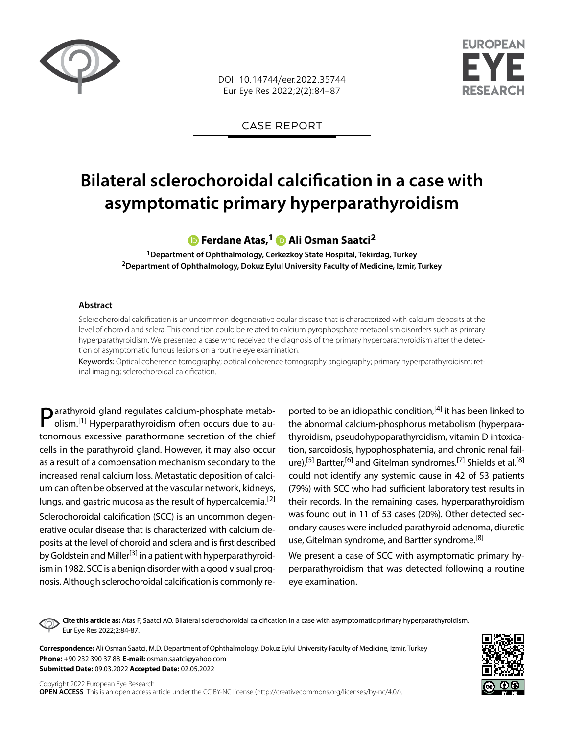

DOI: 10.14744/eer.2022.35744 Eur Eye Res 2022;2(2):84–87



CASE REPORT

# **Bilateral sclerochoroidal calcification in a case with asymptomatic primary hyperparathyroidism**

## **Ferdane Atas,1Ali Osman Saatci2**

**1Department of Ophthalmology, Cerkezkoy State Hospital, Tekirdag, Turkey 2Department of Ophthalmology, Dokuz Eylul University Faculty of Medicine, Izmir, Turkey**

#### **Abstract**

Sclerochoroidal calcification is an uncommon degenerative ocular disease that is characterized with calcium deposits at the level of choroid and sclera. This condition could be related to calcium pyrophosphate metabolism disorders such as primary hyperparathyroidism. We presented a case who received the diagnosis of the primary hyperparathyroidism after the detection of asymptomatic fundus lesions on a routine eye examination.

Keywords: Optical coherence tomography; optical coherence tomography angiography; primary hyperparathyroidism; retinal imaging; sclerochoroidal calcification.

Parathyroid gland regulates calcium-phosphate metabolism.<sup>[1]</sup> Hyperparathyroidism often occurs due to autonomous excessive parathormone secretion of the chief cells in the parathyroid gland. However, it may also occur as a result of a compensation mechanism secondary to the increased renal calcium loss. Metastatic deposition of calcium can often be observed at the vascular network, kidneys, lungs, and gastric mucosa as the result of hypercalcemia.<sup>[2]</sup> Sclerochoroidal calcification (SCC) is an uncommon degenerative ocular disease that is characterized with calcium deposits at the level of choroid and sclera and is first described by Goldstein and Miller<sup>[3]</sup> in a patient with hyperparathyroidism in 1982. SCC is a benign disorder with a good visual prognosis. Although sclerochoroidal calcification is commonly reported to be an idiopathic condition,<sup>[4]</sup> it has been linked to the abnormal calcium-phosphorus metabolism (hyperparathyroidism, pseudohypoparathyroidism, vitamin D intoxication, sarcoidosis, hypophosphatemia, and chronic renal failure),<sup>[5]</sup> Bartter,<sup>[6]</sup> and Gitelman syndromes.<sup>[7]</sup> Shields et al.<sup>[8]</sup> could not identify any systemic cause in 42 of 53 patients (79%) with SCC who had sufficient laboratory test results in their records. In the remaining cases, hyperparathyroidism was found out in 11 of 53 cases (20%). Other detected secondary causes were included parathyroid adenoma, diuretic use, Gitelman syndrome, and Bartter syndrome.<sup>[8]</sup>

We present a case of SCC with asymptomatic primary hyperparathyroidism that was detected following a routine eye examination.

**Cite this article as:** Atas F, Saatci AO. Bilateral sclerochoroidal calcification in a case with asymptomatic primary hyperparathyroidism. Eur Eye Res 2022;2:84-87.

**Correspondence:** Ali Osman Saatci, M.D. Department of Ophthalmology, Dokuz Eylul University Faculty of Medicine, Izmir, Turkey **Phone:** +90 232 390 37 88 **E-mail:** osman.saatci@yahoo.com **Submitted Date:** 09.03.2022 **Accepted Date:** 02.05.2022

Copyright 2022 European Eye Research **OPEN ACCESS** This is an open access article under the CC BY-NC license (http://creativecommons.org/licenses/by-nc/4.0/).

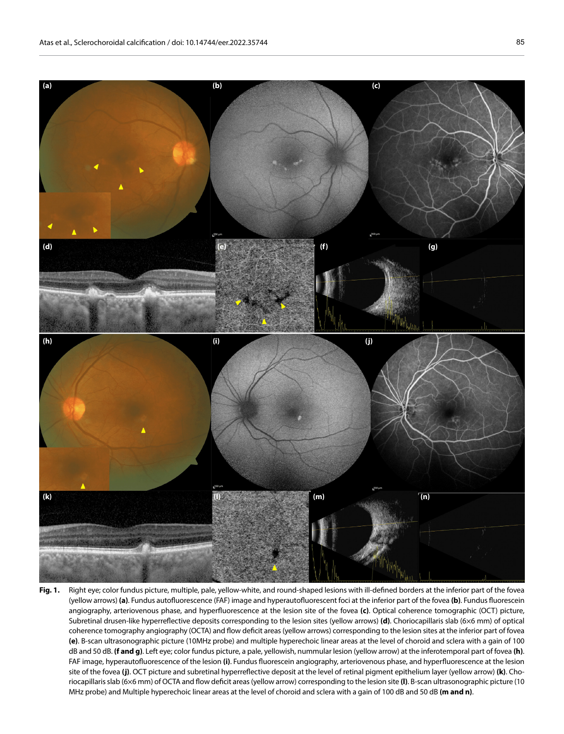

Fig. 1. Right eye; color fundus picture, multiple, pale, yellow-white, and round-shaped lesions with ill-defined borders at the inferior part of the fovea (yellow arrows) **(a)**. Fundus autofluorescence (FAF) image and hyperautofluorescent foci at the inferior part of the fovea **(b)**. Fundus fluorescein angiography, arteriovenous phase, and hyperfluorescence at the lesion site of the fovea **(c)**. Optical coherence tomographic (OCT) picture, Subretinal drusen-like hyperreflective deposits corresponding to the lesion sites (yellow arrows) **(d)**. Choriocapillaris slab (6×6 mm) of optical coherence tomography angiography (OCTA) and flow deficit areas (yellow arrows) corresponding to the lesion sites at the inferior part of fovea **(e)**. B-scan ultrasonographic picture (10MHz probe) and multiple hyperechoic linear areas at the level of choroid and sclera with a gain of 100 dB and 50 dB. **(f and g)**. Left eye; color fundus picture, a pale, yellowish, nummular lesion (yellow arrow) at the inferotemporal part of fovea **(h)**. FAF image, hyperautofluorescence of the lesion **(i)**. Fundus fluorescein angiography, arteriovenous phase, and hyperfluorescence at the lesion site of the fovea **(j)**. OCT picture and subretinal hyperreflective deposit at the level of retinal pigment epithelium layer (yellow arrow) **(k)**. Choriocapillaris slab (6×6 mm) of OCTA and flow deficit areas (yellow arrow) corresponding to the lesion site **(l)**. B-scan ultrasonographic picture (10 MHz probe) and Multiple hyperechoic linear areas at the level of choroid and sclera with a gain of 100 dB and 50 dB **(m and n)**.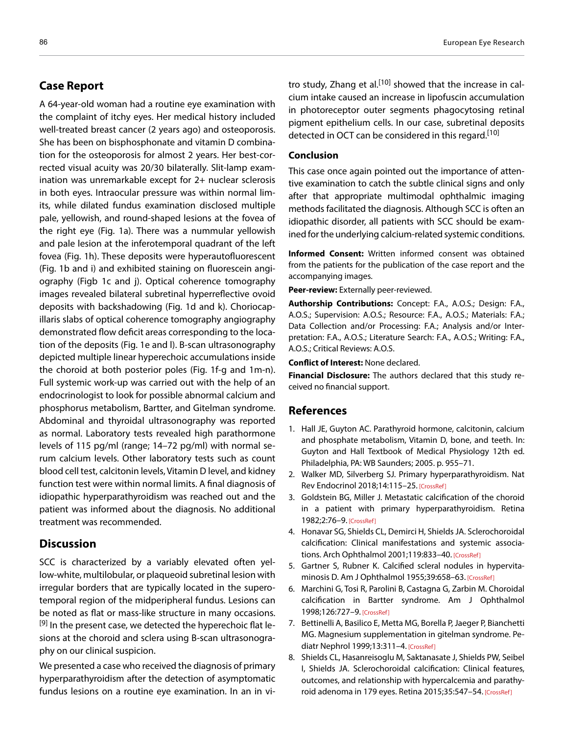## **Case Report**

A 64-year-old woman had a routine eye examination with the complaint of itchy eyes. Her medical history included well-treated breast cancer (2 years ago) and osteoporosis. She has been on bisphosphonate and vitamin D combination for the osteoporosis for almost 2 years. Her best-corrected visual acuity was 20/30 bilaterally. Slit-lamp examination was unremarkable except for 2+ nuclear sclerosis in both eyes. Intraocular pressure was within normal limits, while dilated fundus examination disclosed multiple pale, yellowish, and round-shaped lesions at the fovea of the right eye (Fig. 1a). There was a nummular yellowish and pale lesion at the inferotemporal quadrant of the left fovea (Fig. 1h). These deposits were hyperautofluorescent (Fig. 1b and i) and exhibited staining on fluorescein angiography (Figb 1c and j). Optical coherence tomography images revealed bilateral subretinal hyperreflective ovoid deposits with backshadowing (Fig. 1d and k). Choriocapillaris slabs of optical coherence tomography angiography demonstrated flow deficit areas corresponding to the location of the deposits (Fig. 1e and l). B-scan ultrasonography depicted multiple linear hyperechoic accumulations inside the choroid at both posterior poles (Fig. 1f-g and 1m-n). Full systemic work-up was carried out with the help of an endocrinologist to look for possible abnormal calcium and phosphorus metabolism, Bartter, and Gitelman syndrome. Abdominal and thyroidal ultrasonography was reported as normal. Laboratory tests revealed high parathormone levels of 115 pg/ml (range; 14–72 pg/ml) with normal serum calcium levels. Other laboratory tests such as count blood cell test, calcitonin levels, Vitamin D level, and kidney function test were within normal limits. A final diagnosis of idiopathic hyperparathyroidism was reached out and the patient was informed about the diagnosis. No additional treatment was recommended.

## **Discussion**

SCC is characterized by a variably elevated often yellow-white, multilobular, or plaqueoid subretinal lesion with irregular borders that are typically located in the superotemporal region of the midperipheral fundus. Lesions can be noted as flat or mass-like structure in many occasions.  $[9]$  In the present case, we detected the hyperechoic flat lesions at the choroid and sclera using B-scan ultrasonography on our clinical suspicion.

We presented a case who received the diagnosis of primary hyperparathyroidism after the detection of asymptomatic fundus lesions on a routine eye examination. In an in vitro study, Zhang et al.<sup>[10]</sup> showed that the increase in calcium intake caused an increase in lipofuscin accumulation in photoreceptor outer segments phagocytosing retinal pigment epithelium cells. In our case, subretinal deposits detected in OCT can be considered in this regard.[10]

### **Conclusion**

This case once again pointed out the importance of attentive examination to catch the subtle clinical signs and only after that appropriate multimodal ophthalmic imaging methods facilitated the diagnosis. Although SCC is often an idiopathic disorder, all patients with SCC should be examined for the underlying calcium-related systemic conditions.

**Informed Consent:** Written informed consent was obtained from the patients for the publication of the case report and the accompanying images.

**Peer-review:** Externally peer-reviewed.

**Authorship Contributions:** Concept: F.A., A.O.S.; Design: F.A., A.O.S.; Supervision: A.O.S.; Resource: F.A., A.O.S.; Materials: F.A.; Data Collection and/or Processing: F.A.; Analysis and/or Interpretation: F.A., A.O.S.; Literature Search: F.A., A.O.S.; Writing: F.A., A.O.S.; Critical Reviews: A.O.S.

**Conflict of Interest:** None declared.

**Financial Disclosure:** The authors declared that this study received no financial support.

### **References**

- 1. Hall JE, Guyton AC. Parathyroid hormone, calcitonin, calcium and phosphate metabolism, Vitamin D, bone, and teeth. In: Guyton and Hall Textbook of Medical Physiology 12th ed. Philadelphia, PA: WB Saunders; 2005. p. 955–71.
- 2. Walker MD, Silverberg SJ. Primary hyperparathyroidism. Nat Rev Endocrinol 2018;14:115–25. [CrossRef]
- 3. Goldstein BG, Miller J. Metastatic calcification of the choroid in a patient with primary hyperparathyroidism. Retina 1982;2:76–9. [CrossRef]
- 4. Honavar SG, Shields CL, Demirci H, Shields JA. Sclerochoroidal calcification: Clinical manifestations and systemic associations. Arch Ophthalmol 2001;119:833-40. [CrossRef]
- 5. Gartner S, Rubner K. Calcified scleral nodules in hypervitaminosis D. Am J Ophthalmol 1955;39:658–63. [CrossRef]
- 6. Marchini G, Tosi R, Parolini B, Castagna G, Zarbin M. Choroidal calcification in Bartter syndrome. Am J Ophthalmol 1998;126:727–9. [CrossRef]
- 7. Bettinelli A, Basilico E, Metta MG, Borella P, Jaeger P, Bianchetti MG. Magnesium supplementation in gitelman syndrome. Pediatr Nephrol 1999;13:311–4. [CrossRef]
- 8. Shields CL, Hasanreisoglu M, Saktanasate J, Shields PW, Seibel I, Shields JA. Sclerochoroidal calcification: Clinical features, outcomes, and relationship with hypercalcemia and parathyroid adenoma in 179 eyes. Retina 2015;35:547–54. [CrossRef]